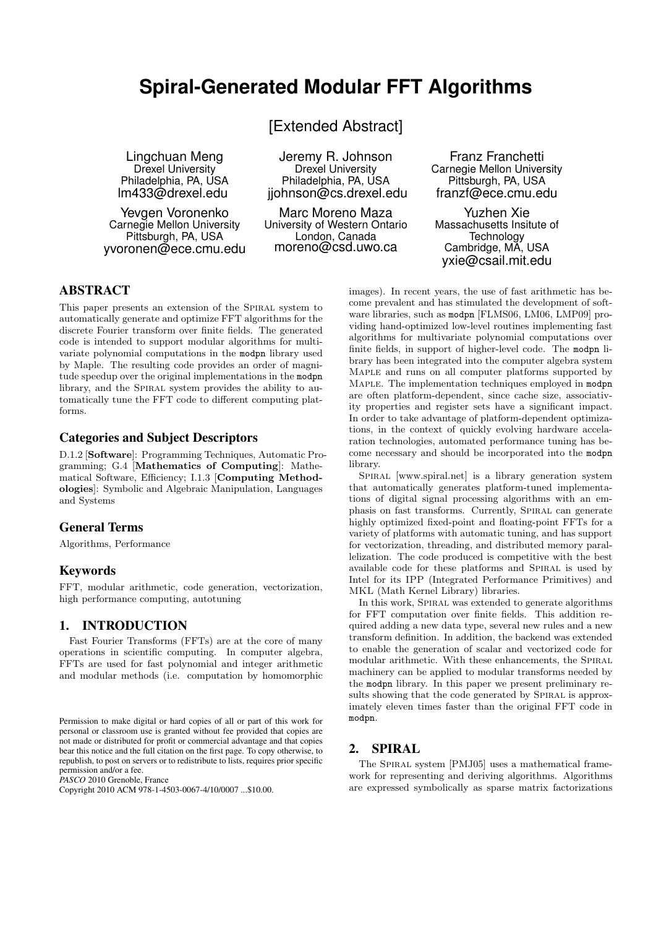# **Spiral-Generated Modular FFT Algorithms**

[Extended Abstract]

Lingchuan Meng Drexel University Philadelphia, PA, USA lm433@drexel.edu

Yevgen Voronenko Carnegie Mellon University Pittsburgh, PA, USA yvoronen@ece.cmu.edu

Jeremy R. Johnson Drexel University Philadelphia, PA, USA jjohnson@cs.drexel.edu

Marc Moreno Maza University of Western Ontario London, Canada moreno@csd.uwo.ca

Franz Franchetti Carnegie Mellon University Pittsburgh, PA, USA franzf@ece.cmu.edu

Yuzhen Xie Massachusetts Insitute of **Technology** Cambridge, MA, USA yxie@csail.mit.edu

# ABSTRACT

This paper presents an extension of the SPIRAL system to automatically generate and optimize FFT algorithms for the discrete Fourier transform over finite fields. The generated code is intended to support modular algorithms for multivariate polynomial computations in the modpn library used by Maple. The resulting code provides an order of magnitude speedup over the original implementations in the modpn library, and the SPIRAL system provides the ability to automatically tune the FFT code to different computing platforms.

#### Categories and Subject Descriptors

D.1.2 [Software]: Programming Techniques, Automatic Programming; G.4 [Mathematics of Computing]: Mathematical Software, Efficiency; I.1.3 [Computing Methodologies]: Symbolic and Algebraic Manipulation, Languages and Systems

## General Terms

Algorithms, Performance

## Keywords

FFT, modular arithmetic, code generation, vectorization, high performance computing, autotuning

# 1. INTRODUCTION

Fast Fourier Transforms (FFTs) are at the core of many operations in scientific computing. In computer algebra, FFTs are used for fast polynomial and integer arithmetic and modular methods (i.e. computation by homomorphic

*PASCO* 2010 Grenoble, France

images). In recent years, the use of fast arithmetic has become prevalent and has stimulated the development of software libraries, such as modpn [FLMS06, LM06, LMP09] providing hand-optimized low-level routines implementing fast algorithms for multivariate polynomial computations over finite fields, in support of higher-level code. The modpn library has been integrated into the computer algebra system Maple and runs on all computer platforms supported by Maple. The implementation techniques employed in modpn are often platform-dependent, since cache size, associativity properties and register sets have a significant impact. In order to take advantage of platform-dependent optimizations, in the context of quickly evolving hardware accelaration technologies, automated performance tuning has become necessary and should be incorporated into the modpn library.

SPIRAL [www.spiral.net] is a library generation system that automatically generates platform-tuned implementations of digital signal processing algorithms with an emphasis on fast transforms. Currently, SPIRAL can generate highly optimized fixed-point and floating-point FFTs for a variety of platforms with automatic tuning, and has support for vectorization, threading, and distributed memory parallelization. The code produced is competitive with the best available code for these platforms and SPIRAL is used by Intel for its IPP (Integrated Performance Primitives) and MKL (Math Kernel Library) libraries.

In this work, SPIRAL was extended to generate algorithms for FFT computation over finite fields. This addition required adding a new data type, several new rules and a new transform definition. In addition, the backend was extended to enable the generation of scalar and vectorized code for modular arithmetic. With these enhancements, the SPIRAL machinery can be applied to modular transforms needed by the modpn library. In this paper we present preliminary results showing that the code generated by SPIRAL is approximately eleven times faster than the original FFT code in modpn.

#### 2. SPIRAL

The SPIRAL system [PMJ05] uses a mathematical framework for representing and deriving algorithms. Algorithms are expressed symbolically as sparse matrix factorizations

Permission to make digital or hard copies of all or part of this work for personal or classroom use is granted without fee provided that copies are not made or distributed for profit or commercial advantage and that copies bear this notice and the full citation on the first page. To copy otherwise, to republish, to post on servers or to redistribute to lists, requires prior specific permission and/or a fee.

Copyright 2010 ACM 978-1-4503-0067-4/10/0007 ...\$10.00.